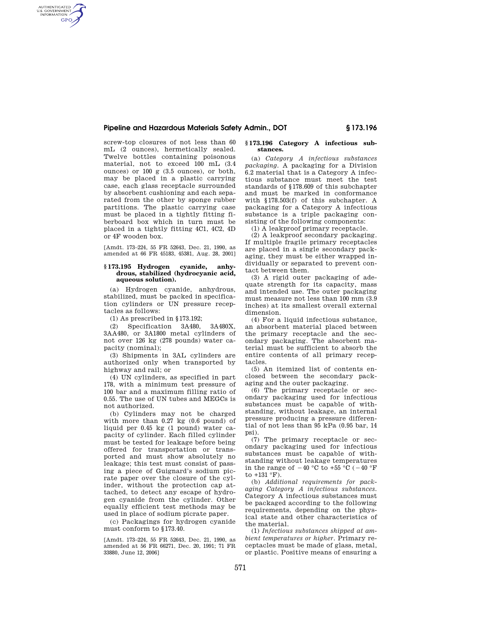## **Pipeline and Hazardous Materials Safety Admin., DOT § 173.196**

screw-top closures of not less than 60 mL (2 ounces), hermetically sealed. Twelve bottles containing poisonous material, not to exceed 100 mL (3.4 ounces) or 100 g (3.5 ounces), or both, may be placed in a plastic carrying case, each glass receptacle surrounded by absorbent cushioning and each separated from the other by sponge rubber partitions. The plastic carrying case must be placed in a tightly fitting fiberboard box which in turn must be placed in a tightly fitting 4C1, 4C2, 4D or 4F wooden box.

AUTHENTICATED<br>U.S. GOVERNMENT<br>INFORMATION **GPO** 

> [Amdt. 173–224, 55 FR 52643, Dec. 21, 1990, as amended at 66 FR 45183, 45381, Aug. 28, 2001]

## **§ 173.195 Hydrogen cyanide, anhydrous, stabilized (hydrocyanic acid, aqueous solution).**

(a) Hydrogen cyanide, anhydrous, stabilized, must be packed in specification cylinders or UN pressure receptacles as follows:

(1) As prescribed in §173.192;

(2) Specification 3A480, 3A480X, 3AA480, or 3A1800 metal cylinders of not over 126 kg (278 pounds) water capacity (nominal);

(3) Shipments in 3AL cylinders are authorized only when transported by highway and rail; or

(4) UN cylinders, as specified in part 178, with a minimum test pressure of 100 bar and a maximum filling ratio of 0.55. The use of UN tubes and MEGCs is not authorized.

(b) Cylinders may not be charged with more than 0.27 kg (0.6 pound) of liquid per 0.45 kg (1 pound) water capacity of cylinder. Each filled cylinder must be tested for leakage before being offered for transportation or transported and must show absolutely no leakage; this test must consist of passing a piece of Guignard's sodium picrate paper over the closure of the cylinder, without the protection cap attached, to detect any escape of hydrogen cyanide from the cylinder. Other equally efficient test methods may be used in place of sodium picrate paper.

(c) Packagings for hydrogen cyanide must conform to §173.40.

[Amdt. 173–224, 55 FR 52643, Dec. 21, 1990, as amended at 56 FR 66271, Dec. 20, 1991; 71 FR 33880, June 12, 2006]

## **§ 173.196 Category A infectious substances.**

(a) *Category A infectious substances packaging.* A packaging for a Division 6.2 material that is a Category A infectious substance must meet the test standards of §178.609 of this subchapter and must be marked in conformance with §178.503(f) of this subchapter. A packaging for a Category A infectious substance is a triple packaging consisting of the following components:

(1) A leakproof primary receptacle.

(2) A leakproof secondary packaging. If multiple fragile primary receptacles are placed in a single secondary packaging, they must be either wrapped individually or separated to prevent contact between them.

(3) A rigid outer packaging of adequate strength for its capacity, mass and intended use. The outer packaging must measure not less than 100 mm (3.9 inches) at its smallest overall external dimension.

(4) For a liquid infectious substance, an absorbent material placed between the primary receptacle and the secondary packaging. The absorbent material must be sufficient to absorb the entire contents of all primary receptacles.

(5) An itemized list of contents enclosed between the secondary packaging and the outer packaging.

(6) The primary receptacle or secondary packaging used for infectious substances must be capable of withstanding, without leakage, an internal pressure producing a pressure differential of not less than 95 kPa (0.95 bar, 14 psi).

(7) The primary receptacle or secondary packaging used for infectious substances must be capable of withstanding without leakage temperatures in the range of  $-40$  °C to  $+55$  °C ( $-40$  °F to +131 °F).

(b) *Additional requirements for packaging Category A infectious substances.*  Category A infectious substances must be packaged according to the following requirements, depending on the physical state and other characteristics of the material.

(1) *Infectious substances shipped at ambient temperatures or higher.* Primary receptacles must be made of glass, metal, or plastic. Positive means of ensuring a